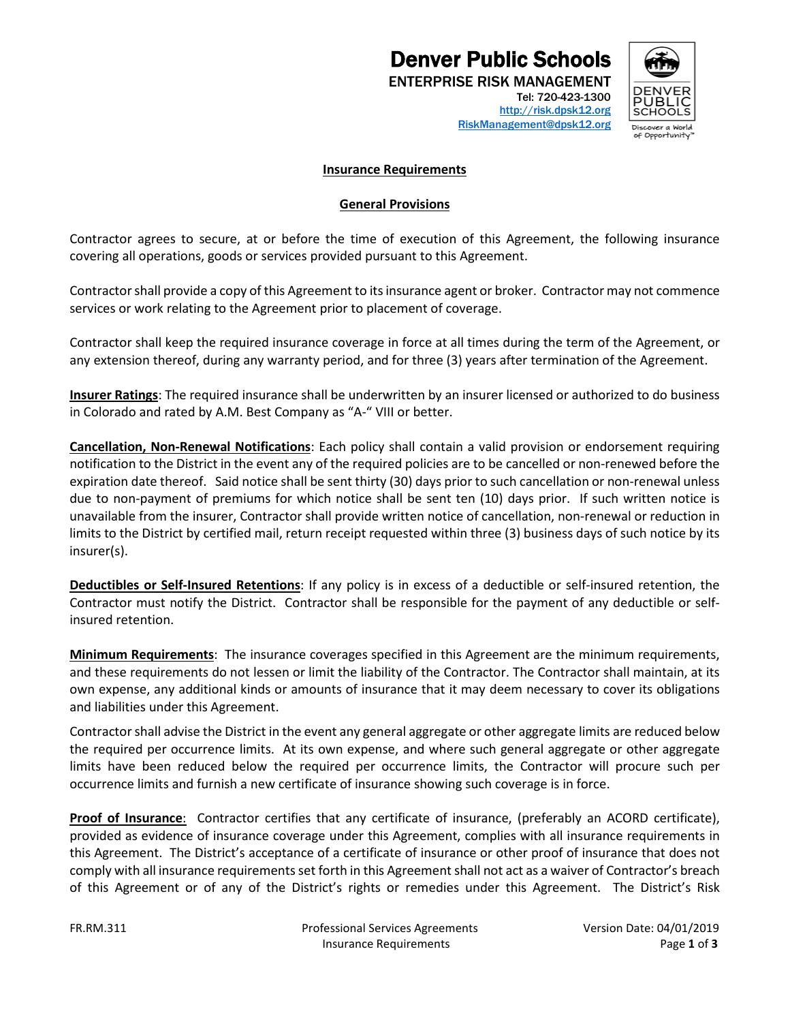# **Denver Public Schools**<br>ENTERPRISE RISK MANAGEMENT



[http://risk.dpsk12.org](https://financialservices.dpsk12.org/risk-management/) [RiskManagement@dpsk12.org](mailto:RiskManagement@dpsk12.org)

### **Insurance Requirements**

#### **General Provisions**

Contractor agrees to secure, at or before the time of execution of this Agreement, the following insurance covering all operations, goods or services provided pursuant to this Agreement.

Contractorshall provide a copy of this Agreement to its insurance agent or broker. Contractor may not commence services or work relating to the Agreement prior to placement of coverage.

Contractor shall keep the required insurance coverage in force at all times during the term of the Agreement, or any extension thereof, during any warranty period, and for three (3) years after termination of the Agreement.

**Insurer Ratings**: The required insurance shall be underwritten by an insurer licensed or authorized to do business in Colorado and rated by A.M. Best Company as "A-" VIII or better.

**Cancellation, Non-Renewal Notifications**: Each policy shall contain a valid provision or endorsement requiring notification to the District in the event any of the required policies are to be cancelled or non-renewed before the expiration date thereof. Said notice shall be sent thirty (30) days prior to such cancellation or non-renewal unless due to non-payment of premiums for which notice shall be sent ten (10) days prior. If such written notice is unavailable from the insurer, Contractor shall provide written notice of cancellation, non-renewal or reduction in limits to the District by certified mail, return receipt requested within three (3) business days of such notice by its insurer(s).

**Deductibles or Self-Insured Retentions**: If any policy is in excess of a deductible or self-insured retention, the Contractor must notify the District. Contractor shall be responsible for the payment of any deductible or selfinsured retention.

**Minimum Requirements**: The insurance coverages specified in this Agreement are the minimum requirements, and these requirements do not lessen or limit the liability of the Contractor. The Contractor shall maintain, at its own expense, any additional kinds or amounts of insurance that it may deem necessary to cover its obligations and liabilities under this Agreement.

Contractor shall advise the District in the event any general aggregate or other aggregate limits are reduced below the required per occurrence limits. At its own expense, and where such general aggregate or other aggregate limits have been reduced below the required per occurrence limits, the Contractor will procure such per occurrence limits and furnish a new certificate of insurance showing such coverage is in force.

**Proof of Insurance**:Contractor certifies that any certificate of insurance, (preferably an ACORD certificate), provided as evidence of insurance coverage under this Agreement, complies with all insurance requirements in this Agreement. The District's acceptance of a certificate of insurance or other proof of insurance that does not comply with all insurance requirements set forth in this Agreement shall not act as a waiver of Contractor's breach of this Agreement or of any of the District's rights or remedies under this Agreement. The District's Risk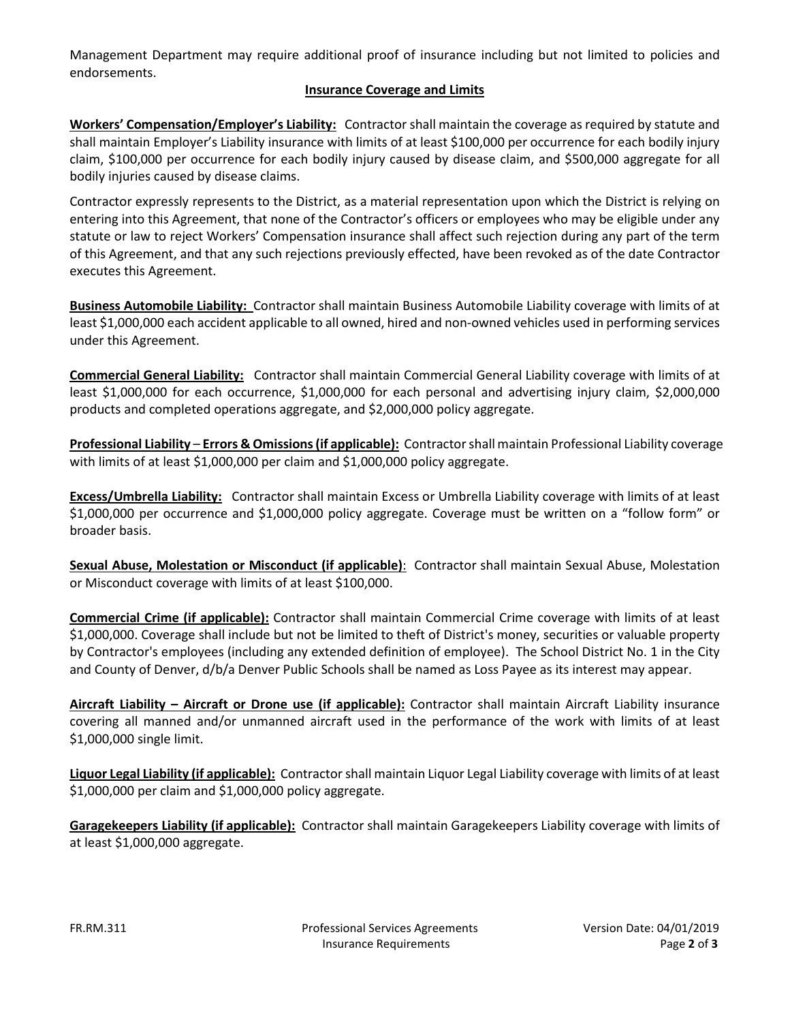Management Department may require additional proof of insurance including but not limited to policies and endorsements.

## **Insurance Coverage and Limits**

**Workers' Compensation/Employer's Liability:** Contractorshall maintain the coverage as required by statute and shall maintain Employer's Liability insurance with limits of at least \$100,000 per occurrence for each bodily injury claim, \$100,000 per occurrence for each bodily injury caused by disease claim, and \$500,000 aggregate for all bodily injuries caused by disease claims.

Contractor expressly represents to the District, as a material representation upon which the District is relying on entering into this Agreement, that none of the Contractor's officers or employees who may be eligible under any statute or law to reject Workers' Compensation insurance shall affect such rejection during any part of the term of this Agreement, and that any such rejections previously effected, have been revoked as of the date Contractor executes this Agreement.

**Business Automobile Liability:** Contractor shall maintain Business Automobile Liability coverage with limits of at least \$1,000,000 each accident applicable to all owned, hired and non-owned vehicles used in performing services under this Agreement.

**Commercial General Liability:** Contractor shall maintain Commercial General Liability coverage with limits of at least \$1,000,000 for each occurrence, \$1,000,000 for each personal and advertising injury claim, \$2,000,000 products and completed operations aggregate, and \$2,000,000 policy aggregate.

**Professional Liability** – **Errors & Omissions(if applicable):** Contractorshall maintain Professional Liability coverage with limits of at least \$1,000,000 per claim and \$1,000,000 policy aggregate.

**Excess/Umbrella Liability:** Contractor shall maintain Excess or Umbrella Liability coverage with limits of at least \$1,000,000 per occurrence and \$1,000,000 policy aggregate. Coverage must be written on a "follow form" or broader basis.

**Sexual Abuse, Molestation or Misconduct (if applicable)**: Contractor shall maintain Sexual Abuse, Molestation or Misconduct coverage with limits of at least \$100,000.

**Commercial Crime (if applicable):** Contractor shall maintain Commercial Crime coverage with limits of at least \$1,000,000. Coverage shall include but not be limited to theft of District's money, securities or valuable property by Contractor's employees (including any extended definition of employee). The School District No. 1 in the City and County of Denver, d/b/a Denver Public Schools shall be named as Loss Payee as its interest may appear.

**Aircraft Liability – Aircraft or Drone use (if applicable):** Contractor shall maintain Aircraft Liability insurance covering all manned and/or unmanned aircraft used in the performance of the work with limits of at least \$1,000,000 single limit.

**Liquor Legal Liability (if applicable):** Contractorshall maintain Liquor Legal Liability coverage with limits of at least \$1,000,000 per claim and \$1,000,000 policy aggregate.

**Garagekeepers Liability (if applicable):** Contractor shall maintain Garagekeepers Liability coverage with limits of at least \$1,000,000 aggregate.